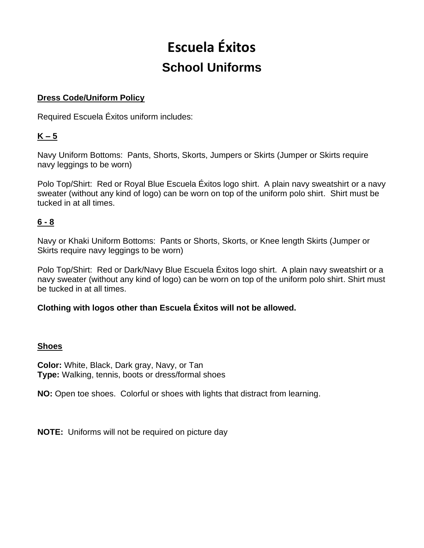# **Escuela Éxitos School Uniforms**

#### **Dress Code/Uniform Policy**

Required Escuela Éxitos uniform includes:

## **K – 5**

Navy Uniform Bottoms: Pants, Shorts, Skorts, Jumpers or Skirts (Jumper or Skirts require navy leggings to be worn)

Polo Top/Shirt: Red or Royal Blue Escuela Éxitos logo shirt. A plain navy sweatshirt or a navy sweater (without any kind of logo) can be worn on top of the uniform polo shirt. Shirt must be tucked in at all times.

## **6 - 8**

Navy or Khaki Uniform Bottoms: Pants or Shorts, Skorts, or Knee length Skirts (Jumper or Skirts require navy leggings to be worn)

Polo Top/Shirt: Red or Dark/Navy Blue Escuela Éxitos logo shirt. A plain navy sweatshirt or a navy sweater (without any kind of logo) can be worn on top of the uniform polo shirt. Shirt must be tucked in at all times.

### **Clothing with logos other than Escuela Éxitos will not be allowed.**

### **Shoes**

**Color:** White, Black, Dark gray, Navy, or Tan **Type:** Walking, tennis, boots or dress/formal shoes

**NO:** Open toe shoes. Colorful or shoes with lights that distract from learning.

**NOTE:** Uniforms will not be required on picture day